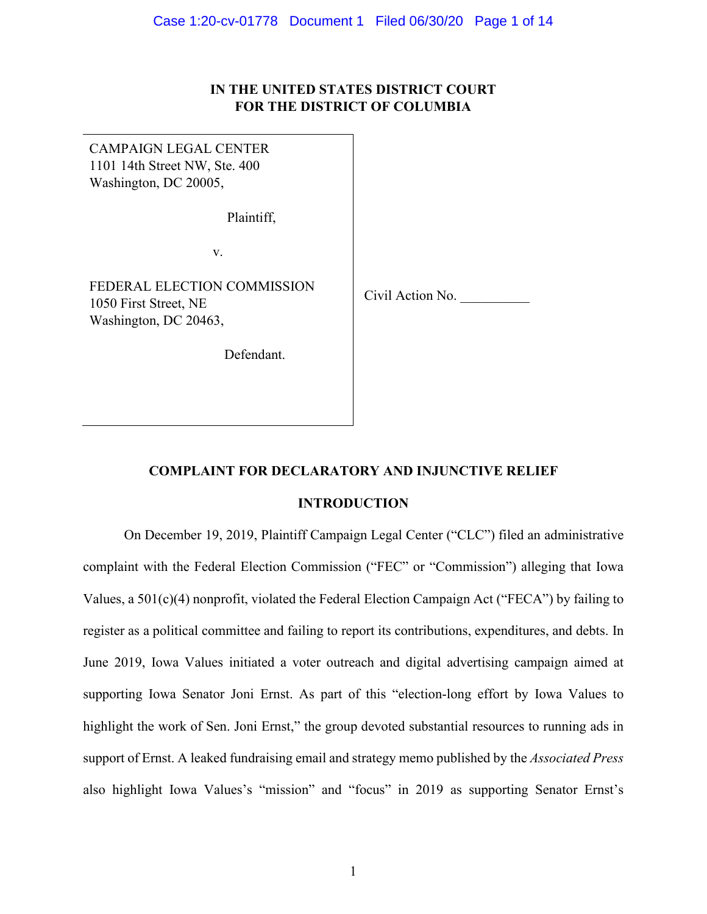# **IN THE UNITED STATES DISTRICT COURT FOR THE DISTRICT OF COLUMBIA**

| CAMPAIGN LEGAL CENTER<br>1101 14th Street NW, Ste. 400<br>Washington, DC 20005, |                  |
|---------------------------------------------------------------------------------|------------------|
| Plaintiff,                                                                      |                  |
| V.                                                                              |                  |
| FEDERAL ELECTION COMMISSION<br>1050 First Street, NE<br>Washington, DC 20463,   | Civil Action No. |
| Defendant.                                                                      |                  |

# **COMPLAINT FOR DECLARATORY AND INJUNCTIVE RELIEF**

# **INTRODUCTION**

On December 19, 2019, Plaintiff Campaign Legal Center ("CLC") filed an administrative complaint with the Federal Election Commission ("FEC" or "Commission") alleging that Iowa Values, a 501(c)(4) nonprofit, violated the Federal Election Campaign Act ("FECA") by failing to register as a political committee and failing to report its contributions, expenditures, and debts. In June 2019, Iowa Values initiated a voter outreach and digital advertising campaign aimed at supporting Iowa Senator Joni Ernst. As part of this "election-long effort by Iowa Values to highlight the work of Sen. Joni Ernst," the group devoted substantial resources to running ads in support of Ernst. A leaked fundraising email and strategy memo published by the *Associated Press*  also highlight Iowa Values's "mission" and "focus" in 2019 as supporting Senator Ernst's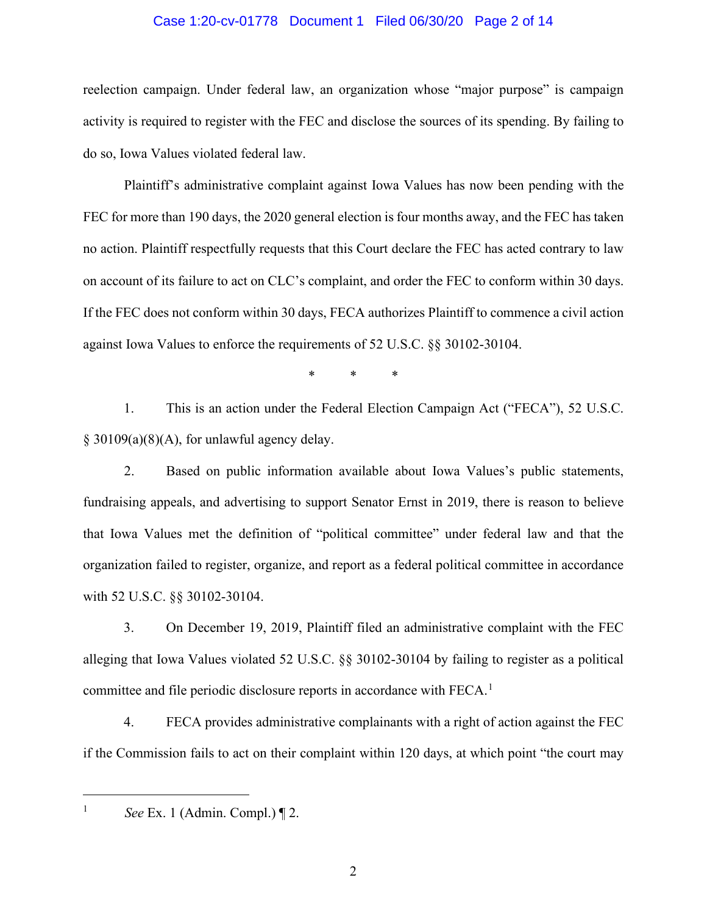### Case 1:20-cv-01778 Document 1 Filed 06/30/20 Page 2 of 14

reelection campaign. Under federal law, an organization whose "major purpose" is campaign activity is required to register with the FEC and disclose the sources of its spending. By failing to do so, Iowa Values violated federal law.

Plaintiff's administrative complaint against Iowa Values has now been pending with the FEC for more than 190 days, the 2020 general election is four months away, and the FEC has taken no action. Plaintiff respectfully requests that this Court declare the FEC has acted contrary to law on account of its failure to act on CLC's complaint, and order the FEC to conform within 30 days. If the FEC does not conform within 30 days, FECA authorizes Plaintiff to commence a civil action against Iowa Values to enforce the requirements of 52 U.S.C. §§ 30102-30104.

\* \* \*

1. This is an action under the Federal Election Campaign Act ("FECA"), 52 U.S.C.  $§$  30109(a)(8)(A), for unlawful agency delay.

2. Based on public information available about Iowa Values's public statements, fundraising appeals, and advertising to support Senator Ernst in 2019, there is reason to believe that Iowa Values met the definition of "political committee" under federal law and that the organization failed to register, organize, and report as a federal political committee in accordance with 52 U.S.C. §§ 30102-30104.

3. On December 19, 2019, Plaintiff filed an administrative complaint with the FEC alleging that Iowa Values violated 52 U.S.C. §§ 30102-30104 by failing to register as a political committee and file periodic disclosure reports in accordance with FECA. $<sup>1</sup>$  $<sup>1</sup>$  $<sup>1</sup>$ </sup>

4. FECA provides administrative complainants with a right of action against the FEC if the Commission fails to act on their complaint within 120 days, at which point "the court may

<span id="page-1-0"></span>

<sup>&</sup>lt;sup>1</sup> *See* Ex. 1 (Admin. Compl.)  $\P$  2.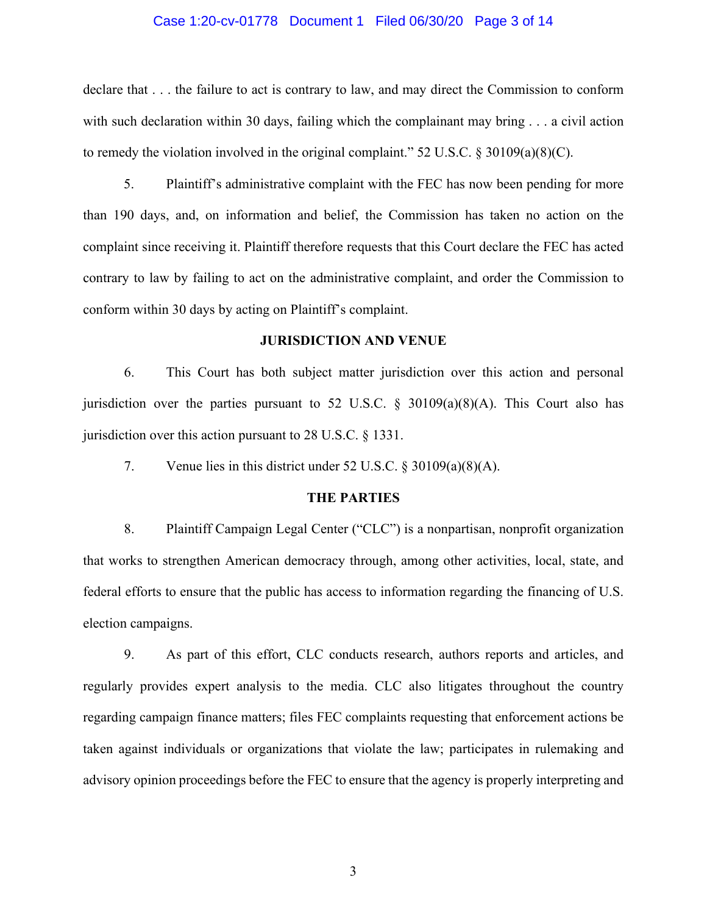#### Case 1:20-cv-01778 Document 1 Filed 06/30/20 Page 3 of 14

declare that . . . the failure to act is contrary to law, and may direct the Commission to conform with such declaration within 30 days, failing which the complainant may bring  $\ldots$  a civil action to remedy the violation involved in the original complaint."  $52 \text{ U.S.C.}$  §  $30109(a)(8)(C)$ .

5. Plaintiff's administrative complaint with the FEC has now been pending for more than 190 days, and, on information and belief, the Commission has taken no action on the complaint since receiving it. Plaintiff therefore requests that this Court declare the FEC has acted contrary to law by failing to act on the administrative complaint, and order the Commission to conform within 30 days by acting on Plaintiff's complaint.

### **JURISDICTION AND VENUE**

6. This Court has both subject matter jurisdiction over this action and personal jurisdiction over the parties pursuant to 52 U.S.C.  $\S$  30109(a)(8)(A). This Court also has jurisdiction over this action pursuant to 28 U.S.C. § 1331.

7. Venue lies in this district under 52 U.S.C. § 30109(a)(8)(A).

## **THE PARTIES**

8. Plaintiff Campaign Legal Center ("CLC") is a nonpartisan, nonprofit organization that works to strengthen American democracy through, among other activities, local, state, and federal efforts to ensure that the public has access to information regarding the financing of U.S. election campaigns.

9. As part of this effort, CLC conducts research, authors reports and articles, and regularly provides expert analysis to the media. CLC also litigates throughout the country regarding campaign finance matters; files FEC complaints requesting that enforcement actions be taken against individuals or organizations that violate the law; participates in rulemaking and advisory opinion proceedings before the FEC to ensure that the agency is properly interpreting and

3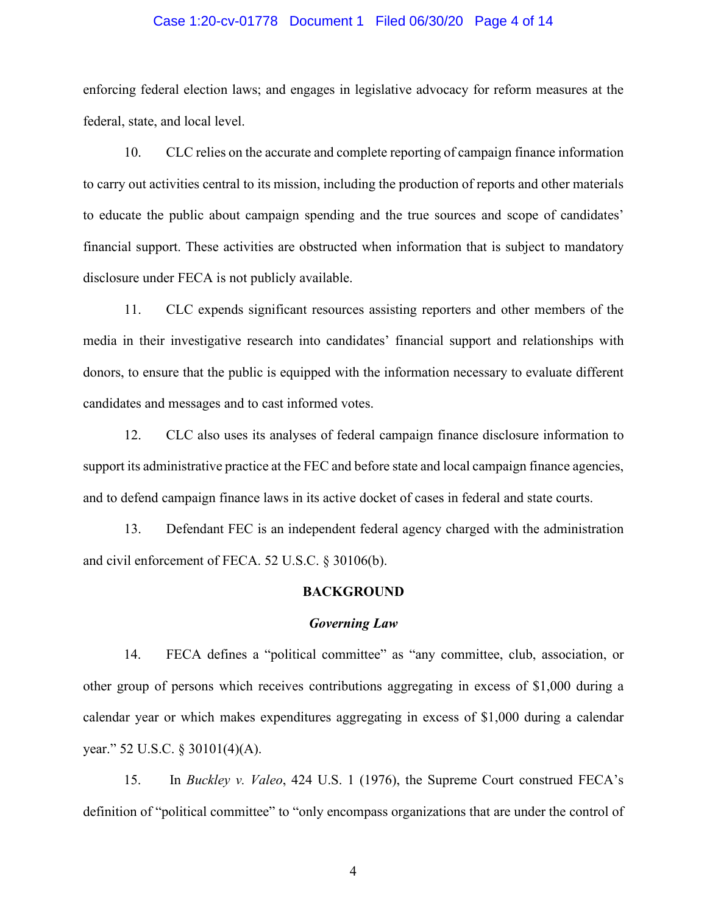#### Case 1:20-cv-01778 Document 1 Filed 06/30/20 Page 4 of 14

enforcing federal election laws; and engages in legislative advocacy for reform measures at the federal, state, and local level.

10. CLC relies on the accurate and complete reporting of campaign finance information to carry out activities central to its mission, including the production of reports and other materials to educate the public about campaign spending and the true sources and scope of candidates' financial support. These activities are obstructed when information that is subject to mandatory disclosure under FECA is not publicly available.

11. CLC expends significant resources assisting reporters and other members of the media in their investigative research into candidates' financial support and relationships with donors, to ensure that the public is equipped with the information necessary to evaluate different candidates and messages and to cast informed votes.

12. CLC also uses its analyses of federal campaign finance disclosure information to support its administrative practice at the FEC and before state and local campaign finance agencies, and to defend campaign finance laws in its active docket of cases in federal and state courts.

13. Defendant FEC is an independent federal agency charged with the administration and civil enforcement of FECA. 52 U.S.C. § 30106(b).

### **BACKGROUND**

#### *Governing Law*

14. FECA defines a "political committee" as "any committee, club, association, or other group of persons which receives contributions aggregating in excess of \$1,000 during a calendar year or which makes expenditures aggregating in excess of \$1,000 during a calendar year." 52 U.S.C. § 30101(4)(A).

15. In *Buckley v. Valeo*, 424 U.S. 1 (1976), the Supreme Court construed FECA's definition of "political committee" to "only encompass organizations that are under the control of

4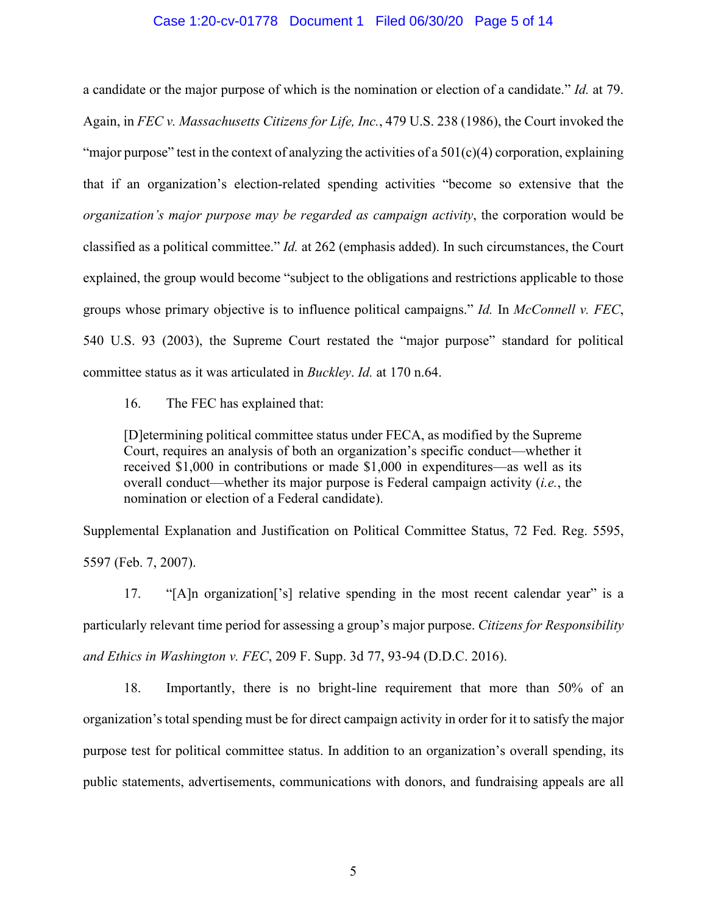#### Case 1:20-cv-01778 Document 1 Filed 06/30/20 Page 5 of 14

a candidate or the major purpose of which is the nomination or election of a candidate." *Id.* at 79. Again, in *FEC v. Massachusetts Citizens for Life, Inc.*, 479 U.S. 238 (1986), the Court invoked the "major purpose" test in the context of analyzing the activities of a  $501(c)(4)$  corporation, explaining that if an organization's election-related spending activities "become so extensive that the *organization's major purpose may be regarded as campaign activity*, the corporation would be classified as a political committee." *Id.* at 262 (emphasis added). In such circumstances, the Court explained, the group would become "subject to the obligations and restrictions applicable to those groups whose primary objective is to influence political campaigns." *Id.* In *McConnell v. FEC*, 540 U.S. 93 (2003), the Supreme Court restated the "major purpose" standard for political committee status as it was articulated in *Buckley*. *Id.* at 170 n.64.

16. The FEC has explained that:

[D]etermining political committee status under FECA, as modified by the Supreme Court, requires an analysis of both an organization's specific conduct—whether it received \$1,000 in contributions or made \$1,000 in expenditures—as well as its overall conduct—whether its major purpose is Federal campaign activity (*i.e.*, the nomination or election of a Federal candidate).

Supplemental Explanation and Justification on Political Committee Status, 72 Fed. Reg. 5595, 5597 (Feb. 7, 2007).

17. "[A]n organization['s] relative spending in the most recent calendar year" is a particularly relevant time period for assessing a group's major purpose. *Citizens for Responsibility and Ethics in Washington v. FEC*, 209 F. Supp. 3d 77, 93-94 (D.D.C. 2016).

18. Importantly, there is no bright-line requirement that more than 50% of an organization's total spending must be for direct campaign activity in order for it to satisfy the major purpose test for political committee status. In addition to an organization's overall spending, its public statements, advertisements, communications with donors, and fundraising appeals are all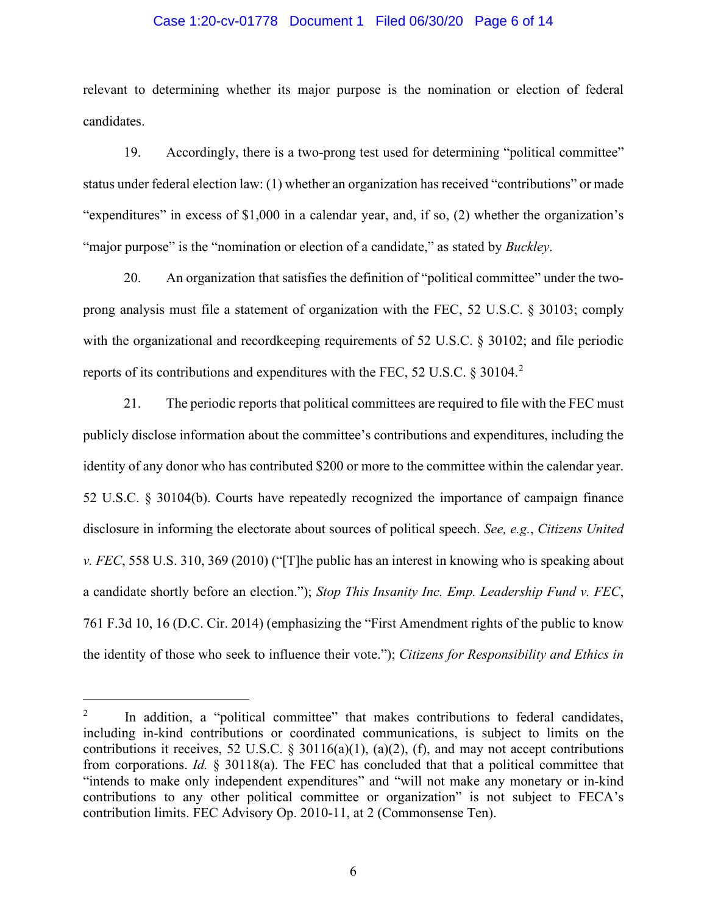### Case 1:20-cv-01778 Document 1 Filed 06/30/20 Page 6 of 14

relevant to determining whether its major purpose is the nomination or election of federal candidates.

19. Accordingly, there is a two-prong test used for determining "political committee" status under federal election law: (1) whether an organization has received "contributions" or made "expenditures" in excess of \$1,000 in a calendar year, and, if so, (2) whether the organization's "major purpose" is the "nomination or election of a candidate," as stated by *Buckley*.

20. An organization that satisfies the definition of "political committee" under the twoprong analysis must file a statement of organization with the FEC, 52 U.S.C. § 30103; comply with the organizational and recordkeeping requirements of 52 U.S.C. § 30102; and file periodic reports of its contributions and expenditures with the FEC, 5[2](#page-5-0) U.S.C. § 30104.<sup>2</sup>

21. The periodic reports that political committees are required to file with the FEC must publicly disclose information about the committee's contributions and expenditures, including the identity of any donor who has contributed \$200 or more to the committee within the calendar year. 52 U.S.C. § 30104(b). Courts have repeatedly recognized the importance of campaign finance disclosure in informing the electorate about sources of political speech. *See, e.g.*, *Citizens United v. FEC*, 558 U.S. 310, 369 (2010) ("[T]he public has an interest in knowing who is speaking about a candidate shortly before an election."); *Stop This Insanity Inc. Emp. Leadership Fund v. FEC*, 761 F.3d 10, 16 (D.C. Cir. 2014) (emphasizing the "First Amendment rights of the public to know the identity of those who seek to influence their vote."); *Citizens for Responsibility and Ethics in* 

<span id="page-5-0"></span><sup>&</sup>lt;sup>2</sup> In addition, a "political committee" that makes contributions to federal candidates, including in-kind contributions or coordinated communications, is subject to limits on the contributions it receives, 52 U.S.C. § 30116(a)(1), (a)(2), (f), and may not accept contributions from corporations. *Id.* § 30118(a). The FEC has concluded that that a political committee that "intends to make only independent expenditures" and "will not make any monetary or in-kind contributions to any other political committee or organization" is not subject to FECA's contribution limits. FEC Advisory Op. 2010-11, at 2 (Commonsense Ten).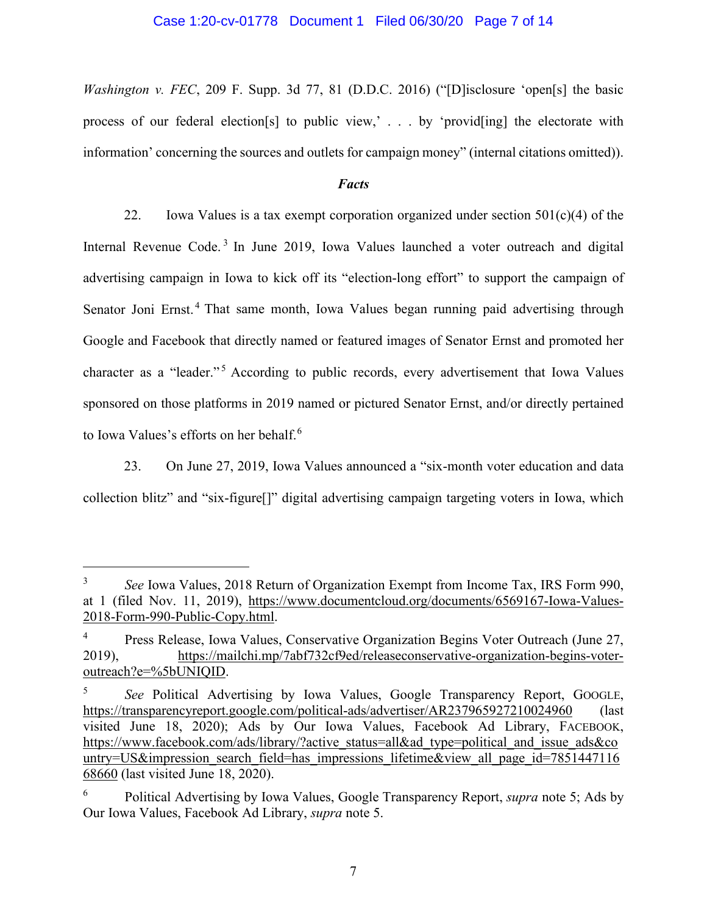### Case 1:20-cv-01778 Document 1 Filed 06/30/20 Page 7 of 14

*Washington v. FEC*, 209 F. Supp. 3d 77, 81 (D.D.C. 2016) ("[D]isclosure 'open[s] the basic process of our federal election[s] to public view,' . . . by 'provid[ing] the electorate with information' concerning the sources and outlets for campaign money" (internal citations omitted)).

## *Facts*

22. Iowa Values is a tax exempt corporation organized under section  $501(c)(4)$  of the Internal Revenue Code.<sup>[3](#page-6-0)</sup> In June 2019, Iowa Values launched a voter outreach and digital advertising campaign in Iowa to kick off its "election-long effort" to support the campaign of Senator Joni Ernst.<sup>[4](#page-6-1)</sup> That same month, Iowa Values began running paid advertising through Google and Facebook that directly named or featured images of Senator Ernst and promoted her character as a "leader."<sup>[5](#page-6-2)</sup> According to public records, every advertisement that Iowa Values sponsored on those platforms in 2019 named or pictured Senator Ernst, and/or directly pertained to Iowa Values's efforts on her behalf.<sup>[6](#page-6-3)</sup>

23. On June 27, 2019, Iowa Values announced a "six-month voter education and data collection blitz" and "six-figure[]" digital advertising campaign targeting voters in Iowa, which

<span id="page-6-0"></span><sup>&</sup>lt;sup>3</sup> *See* Iowa Values, 2018 Return of Organization Exempt from Income Tax, IRS Form 990, at 1 (filed Nov. 11, 2019), [https://www.documentcloud.org/documents/6569167-Iowa-Values-](https://www.documentcloud.org/documents/6569167-Iowa-Values-2018-Form-990-Public-Copy.html)[2018-Form-990-Public-Copy.html.](https://www.documentcloud.org/documents/6569167-Iowa-Values-2018-Form-990-Public-Copy.html)

<span id="page-6-1"></span><sup>&</sup>lt;sup>4</sup> Press Release, Iowa Values, Conservative Organization Begins Voter Outreach (June 27, 2019), [https://mailchi.mp/7abf732cf9ed/releaseconservative-organization-begins-voter](https://mailchi.mp/7abf732cf9ed/releaseconservative-organization-begins-voter-outreach?e=%5bUNIQID)[outreach?e=%5bUNIQID.](https://mailchi.mp/7abf732cf9ed/releaseconservative-organization-begins-voter-outreach?e=%5bUNIQID)

<span id="page-6-2"></span><sup>5</sup> *See* Political Advertising by Iowa Values, Google Transparency Report, GOOGLE, <https://transparencyreport.google.com/political-ads/advertiser/AR237965927210024960> (last visited June 18, 2020); Ads by Our Iowa Values, Facebook Ad Library, FACEBOOK, [https://www.facebook.com/ads/library/?active\\_status=all&ad\\_type=political\\_and\\_issue\\_ads&co](https://www.facebook.com/ads/library/?active_status=all&ad_type=political_and_issue_ads&country=US&impression_search_field=has_impressions_lifetime&view_all_page_id=785144711668660) [untry=US&impression\\_search\\_field=has\\_impressions\\_lifetime&view\\_all\\_page\\_id=7851447116](https://www.facebook.com/ads/library/?active_status=all&ad_type=political_and_issue_ads&country=US&impression_search_field=has_impressions_lifetime&view_all_page_id=785144711668660) [68660](https://www.facebook.com/ads/library/?active_status=all&ad_type=political_and_issue_ads&country=US&impression_search_field=has_impressions_lifetime&view_all_page_id=785144711668660) (last visited June 18, 2020).

<span id="page-6-3"></span><sup>6</sup> Political Advertising by Iowa Values, Google Transparency Report, *supra* note 5; Ads by Our Iowa Values, Facebook Ad Library, *supra* note 5.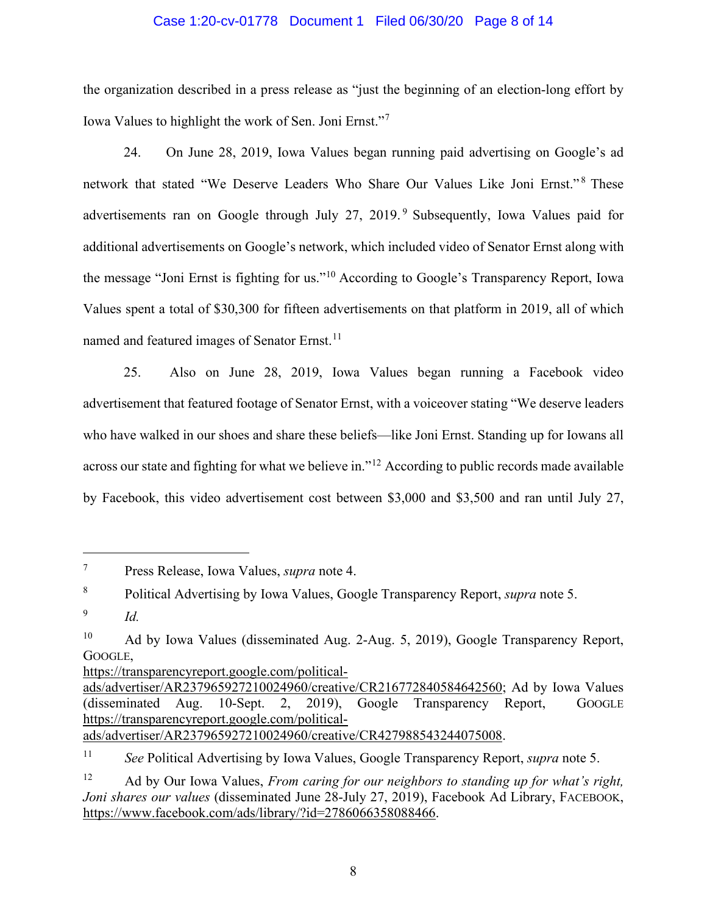### Case 1:20-cv-01778 Document 1 Filed 06/30/20 Page 8 of 14

the organization described in a press release as "just the beginning of an election-long effort by Iowa Values to highlight the work of Sen. Joni Ernst."[7](#page-7-0)

24. On June 28, 2019, Iowa Values began running paid advertising on Google's ad network that stated "We Deserve Leaders Who Share Our Values Like Joni Ernst."<sup>[8](#page-7-1)</sup> These advertisements ran on Google through July 27, 201[9](#page-7-2).<sup>9</sup> Subsequently, Iowa Values paid for additional advertisements on Google's network, which included video of Senator Ernst along with the message "Joni Ernst is fighting for us."[10](#page-7-3) According to Google's Transparency Report, Iowa Values spent a total of \$30,300 for fifteen advertisements on that platform in 2019, all of which named and featured images of Senator Ernst.<sup>[11](#page-7-4)</sup>

25. Also on June 28, 2019, Iowa Values began running a Facebook video advertisement that featured footage of Senator Ernst, with a voiceover stating "We deserve leaders who have walked in our shoes and share these beliefs—like Joni Ernst. Standing up for Iowans all across our state and fighting for what we believe in."<sup>[12](#page-7-5)</sup> According to public records made available by Facebook, this video advertisement cost between \$3,000 and \$3,500 and ran until July 27,

[https://transparencyreport.google.com/political-](https://transparencyreport.google.com/political-ads/advertiser/AR237965927210024960/creative/CR216772840584642560)

[ads/advertiser/AR237965927210024960/creative/CR427988543244075008.](https://transparencyreport.google.com/political-ads/advertiser/AR237965927210024960/creative/CR427988543244075008)

<span id="page-7-0"></span><sup>7</sup> Press Release, Iowa Values, *supra* note 4.

<span id="page-7-1"></span><sup>8</sup> Political Advertising by Iowa Values, Google Transparency Report, *supra* note 5.

<span id="page-7-2"></span><sup>9</sup> *Id.*

<span id="page-7-3"></span><sup>&</sup>lt;sup>10</sup> Ad by Iowa Values (disseminated Aug. 2-Aug. 5, 2019), Google Transparency Report, GOOGLE,

[ads/advertiser/AR237965927210024960/creative/CR216772840584642560;](https://transparencyreport.google.com/political-ads/advertiser/AR237965927210024960/creative/CR216772840584642560) Ad by Iowa Values (disseminated Aug. 10-Sept. 2, 2019), Google Transparency Report, GOOGLE [https://transparencyreport.google.com/political-](https://transparencyreport.google.com/political-ads/advertiser/AR237965927210024960/creative/CR427988543244075008)

<span id="page-7-4"></span><sup>11</sup> *See* Political Advertising by Iowa Values, Google Transparency Report, *supra* note 5.

<span id="page-7-5"></span><sup>12</sup> Ad by Our Iowa Values, *From caring for our neighbors to standing up for what's right, Joni shares our values* (disseminated June 28-July 27, 2019), Facebook Ad Library, FACEBOOK, [https://www.facebook.com/ads/library/?id=2786066358088466.](https://www.facebook.com/ads/library/?id=2786066358088466)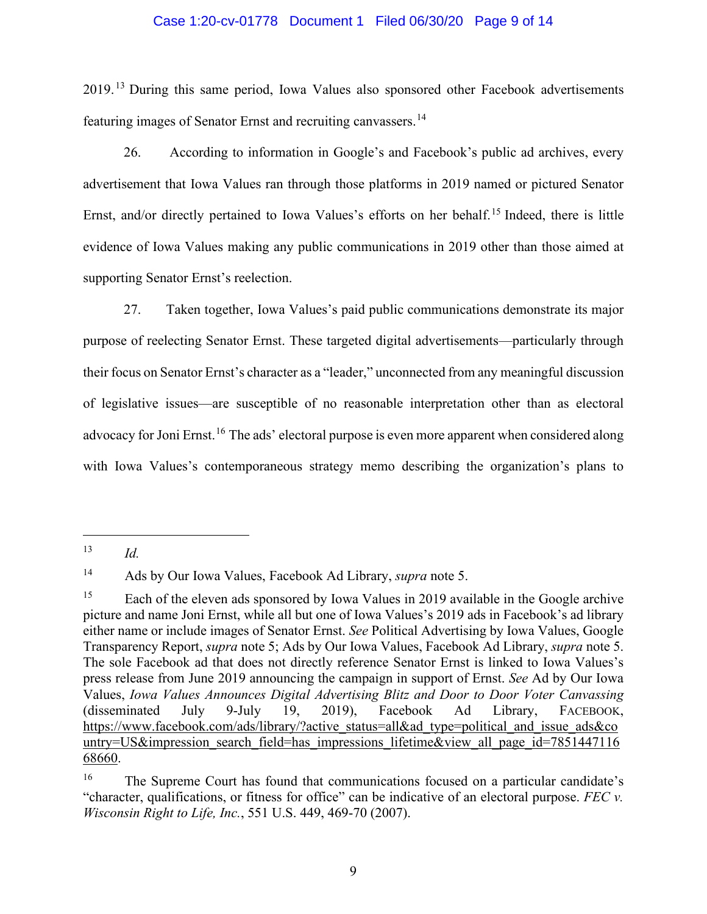### Case 1:20-cv-01778 Document 1 Filed 06/30/20 Page 9 of 14

2019.<sup>[13](#page-8-0)</sup> During this same period, Iowa Values also sponsored other Facebook advertisements featuring images of Senator Ernst and recruiting canvassers.<sup>[14](#page-8-1)</sup>

26. According to information in Google's and Facebook's public ad archives, every advertisement that Iowa Values ran through those platforms in 2019 named or pictured Senator Ernst, and/or directly pertained to Iowa Values's efforts on her behalf.<sup>[15](#page-8-2)</sup> Indeed, there is little evidence of Iowa Values making any public communications in 2019 other than those aimed at supporting Senator Ernst's reelection.

27. Taken together, Iowa Values's paid public communications demonstrate its major purpose of reelecting Senator Ernst. These targeted digital advertisements—particularly through their focus on Senator Ernst's character as a "leader," unconnected from any meaningful discussion of legislative issues—are susceptible of no reasonable interpretation other than as electoral advocacy for Joni Ernst.<sup>[16](#page-8-3)</sup> The ads' electoral purpose is even more apparent when considered along with Iowa Values's contemporaneous strategy memo describing the organization's plans to

<span id="page-8-0"></span><sup>13</sup> *Id.*

<span id="page-8-1"></span><sup>14</sup> Ads by Our Iowa Values, Facebook Ad Library, *supra* note 5.

<span id="page-8-2"></span><sup>&</sup>lt;sup>15</sup> Each of the eleven ads sponsored by Iowa Values in 2019 available in the Google archive picture and name Joni Ernst, while all but one of Iowa Values's 2019 ads in Facebook's ad library either name or include images of Senator Ernst. *See* Political Advertising by Iowa Values, Google Transparency Report, *supra* note 5; Ads by Our Iowa Values, Facebook Ad Library, *supra* note 5. The sole Facebook ad that does not directly reference Senator Ernst is linked to Iowa Values's press release from June 2019 announcing the campaign in support of Ernst. *See* Ad by Our Iowa Values, *Iowa Values Announces Digital Advertising Blitz and Door to Door Voter Canvassing* (disseminated July 9-July 19, 2019), Facebook Ad Library, FACEBOOK, [https://www.facebook.com/ads/library/?active\\_status=all&ad\\_type=political\\_and\\_issue\\_ads&co](https://www.facebook.com/ads/library/?active_status=all&ad_type=political_and_issue_ads&country=US&impression_search_field=has_impressions_lifetime&view_all_page_id=785144711668660) [untry=US&impression\\_search\\_field=has\\_impressions\\_lifetime&view\\_all\\_page\\_id=7851447116](https://www.facebook.com/ads/library/?active_status=all&ad_type=political_and_issue_ads&country=US&impression_search_field=has_impressions_lifetime&view_all_page_id=785144711668660) [68660.](https://www.facebook.com/ads/library/?active_status=all&ad_type=political_and_issue_ads&country=US&impression_search_field=has_impressions_lifetime&view_all_page_id=785144711668660)

<span id="page-8-3"></span><sup>&</sup>lt;sup>16</sup> The Supreme Court has found that communications focused on a particular candidate's "character, qualifications, or fitness for office" can be indicative of an electoral purpose. *FEC v. Wisconsin Right to Life, Inc.*, 551 U.S. 449, 469-70 (2007).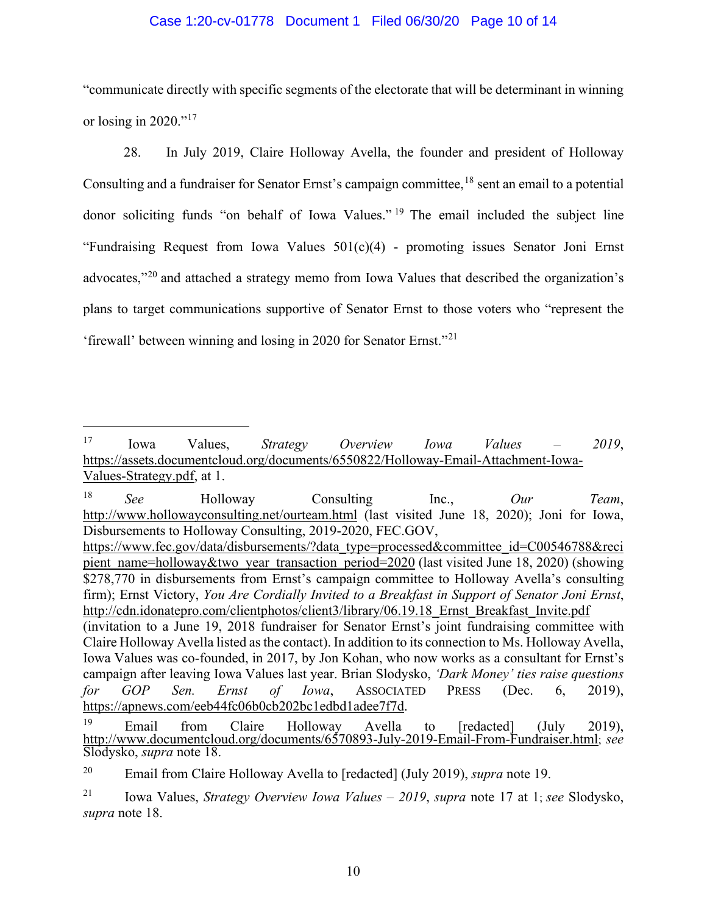## Case 1:20-cv-01778 Document 1 Filed 06/30/20 Page 10 of 14

"communicate directly with specific segments of the electorate that will be determinant in winning or losing in 2020."<sup>[17](#page-9-0)</sup>

28. In July 2019, Claire Holloway Avella, the founder and president of Holloway Consulting and a fundraiser for Senator Ernst's campaign committee,  $^{18}$  $^{18}$  $^{18}$  sent an email to a potential donor soliciting funds "on behalf of Iowa Values." [19](#page-9-2) The email included the subject line "Fundraising Request from Iowa Values 501(c)(4) - promoting issues Senator Joni Ernst advocates,"[20](#page-9-3) and attached a strategy memo from Iowa Values that described the organization's plans to target communications supportive of Senator Ernst to those voters who "represent the 'firewall' between winning and losing in 2020 for Senator Ernst."[21](#page-9-4)

<span id="page-9-1"></span><sup>18</sup> *See* Holloway Consulting Inc., *Our Team*, <http://www.hollowayconsulting.net/ourteam.html> (last visited June 18, 2020); Joni for Iowa, Disbursements to Holloway Consulting, 2019-2020, FEC.GOV, [https://www.fec.gov/data/disbursements/?data\\_type=processed&committee\\_id=C00546788&reci](https://www.fec.gov/data/disbursements/?data_type=processed&committee_id=C00546788&recipient_name=holloway&two_year_transaction_period=2020) [pient\\_name=holloway&two\\_year\\_transaction\\_period=2020](https://www.fec.gov/data/disbursements/?data_type=processed&committee_id=C00546788&recipient_name=holloway&two_year_transaction_period=2020) (last visited June 18, 2020) (showing \$278,770 in disbursements from Ernst's campaign committee to Holloway Avella's consulting firm); Ernst Victory, *You Are Cordially Invited to a Breakfast in Support of Senator Joni Ernst*, http://cdn.idonatepro.com/clientphotos/client3/library/06.19.18 Ernst Breakfast Invite.pdf (invitation to a June 19, 2018 fundraiser for Senator Ernst's joint fundraising committee with Claire Holloway Avella listed as the contact). In addition to its connection to Ms. Holloway Avella, Iowa Values was co-founded, in 2017, by Jon Kohan, who now works as a consultant for Ernst's campaign after leaving Iowa Values last year. Brian Slodysko, *'Dark Money' ties raise questions for GOP Sen. Ernst of Iowa*, ASSOCIATED PRESS (Dec. 6, 2019), [https://apnews.com/eeb44fc06b0cb202bc1edbd1adee7f7d.](https://apnews.com/eeb44fc06b0cb202bc1edbd1adee7f7d)

<span id="page-9-0"></span><sup>17</sup> Iowa Values, *Strategy Overview Iowa Values – 2019*, [https://assets.documentcloud.org/documents/6550822/Holloway-Email-Attachment-Iowa-](https://assets.documentcloud.org/documents/6550822/Holloway-Email-Attachment-Iowa-Values-Strategy.pdf)[Values-Strategy.pdf,](https://assets.documentcloud.org/documents/6550822/Holloway-Email-Attachment-Iowa-Values-Strategy.pdf) at 1.

<span id="page-9-2"></span><sup>19</sup> [Email from Claire Holloway Avella to \[redacted\] \(July 201](http://www.documentcloud.org/documents/6570893-July-2019-Email-From-Fundraiser.html)9), [http://www.documentcloud.org/documents/6570893-July-2019-Email-From-Fundraiser.html;](http://www.documentcloud.org/documents/6570893-July-2019-Email-From-Fundraiser.html) *see*  Slodysko, *supra* note 18.

<span id="page-9-3"></span><sup>20</sup> Email from Claire Holloway Avella to [redacted] (July 2019), *supra* note 19.

<span id="page-9-4"></span><sup>21</sup> Iowa Values, *Strategy Overview Iowa Values – 2019*, *supra* note 17 at [1;](http://www.documentcloud.org/documents/6570893-July-2019-Email-From-Fundraiser.html) *see* Slodysko, *supra* note 18.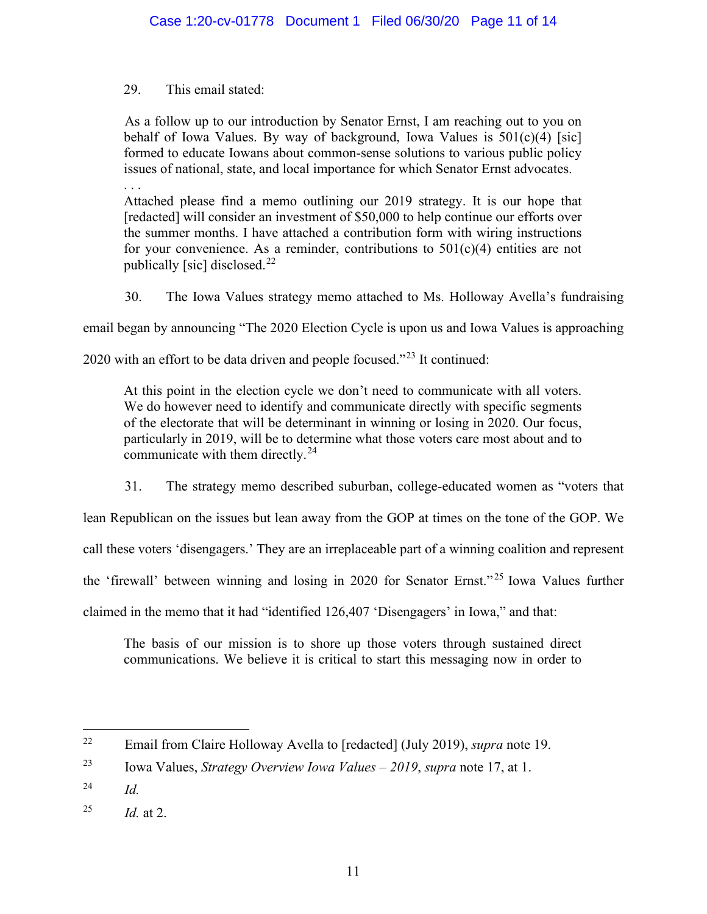# 29. This email stated:

As a follow up to our introduction by Senator Ernst, I am reaching out to you on behalf of Iowa Values. By way of background, Iowa Values is  $501(c)(4)$  [sic] formed to educate Iowans about common-sense solutions to various public policy issues of national, state, and local importance for which Senator Ernst advocates. . . .

Attached please find a memo outlining our 2019 strategy. It is our hope that [redacted] will consider an investment of \$50,000 to help continue our efforts over the summer months. I have attached a contribution form with wiring instructions for your convenience. As a reminder, contributions to  $501(c)(4)$  entities are not publically [sic] disclosed.<sup>[22](#page-10-0)</sup>

30. The Iowa Values strategy memo attached to Ms. Holloway Avella's fundraising

email began by announcing "The 2020 Election Cycle is upon us and Iowa Values is approaching

2020 with an effort to be data driven and people focused."[23](#page-10-1) It continued:

At this point in the election cycle we don't need to communicate with all voters. We do however need to identify and communicate directly with specific segments of the electorate that will be determinant in winning or losing in 2020. Our focus, particularly in 2019, will be to determine what those voters care most about and to communicate with them directly.<sup>[24](#page-10-2)</sup>

31. The strategy memo described suburban, college-educated women as "voters that

lean Republican on the issues but lean away from the GOP at times on the tone of the GOP. We

call these voters 'disengagers.' They are an irreplaceable part of a winning coalition and represent

the 'firewall' between winning and losing in 2020 for Senator Ernst." [25](#page-10-3) Iowa Values further

claimed in the memo that it had "identified 126,407 'Disengagers' in Iowa," and that:

The basis of our mission is to shore up those voters through sustained direct communications. We believe it is critical to start this messaging now in order to

<span id="page-10-0"></span><sup>22</sup> Email from Claire Holloway Avella to [redacted] (July 2019), *supra* note 19.

<span id="page-10-1"></span><sup>23</sup> Iowa Values, *Strategy Overview Iowa Values – 2019*, *supra* note 17, at 1.

<span id="page-10-2"></span><sup>24</sup> *Id.*

<span id="page-10-3"></span><sup>&</sup>lt;sup>25</sup> *Id.* at 2.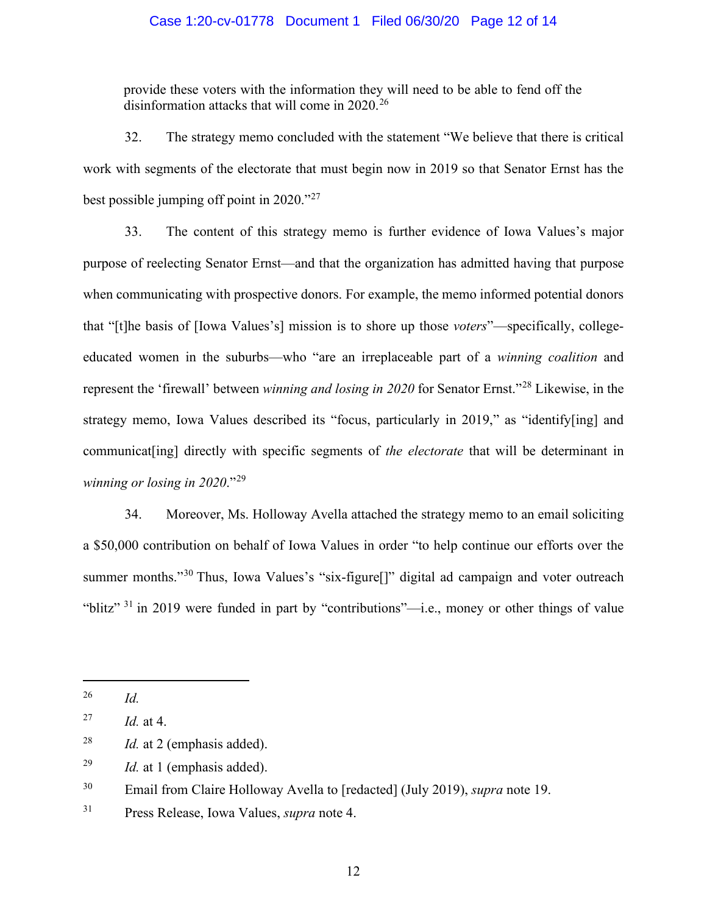## Case 1:20-cv-01778 Document 1 Filed 06/30/20 Page 12 of 14

provide these voters with the information they will need to be able to fend off the disinformation attacks that will come in  $2020$ .<sup>[26](#page-11-0)</sup>

32. The strategy memo concluded with the statement "We believe that there is critical work with segments of the electorate that must begin now in 2019 so that Senator Ernst has the best possible jumping off point in 2020."[27](#page-11-1)

33. The content of this strategy memo is further evidence of Iowa Values's major purpose of reelecting Senator Ernst—and that the organization has admitted having that purpose when communicating with prospective donors. For example, the memo informed potential donors that "[t]he basis of [Iowa Values's] mission is to shore up those *voters*"—specifically, collegeeducated women in the suburbs—who "are an irreplaceable part of a *winning coalition* and represent the 'firewall' between *winning and losing in 2020* for Senator Ernst."[28](#page-11-2) Likewise, in the strategy memo, Iowa Values described its "focus, particularly in 2019," as "identify[ing] and communicat[ing] directly with specific segments of *the electorate* that will be determinant in *winning or losing in 2020*."[29](#page-11-3)

34. Moreover, Ms. Holloway Avella attached the strategy memo to an email soliciting a \$50,000 contribution on behalf of Iowa Values in order "to help continue our efforts over the summer months."<sup>[30](#page-11-4)</sup> Thus, Iowa Values's "six-figure<sup>[]"</sup> digital ad campaign and voter outreach "blitz"<sup>[31](#page-11-5)</sup> in 2019 were funded in part by "contributions"—i.e., money or other things of value

<span id="page-11-0"></span><sup>26</sup> *Id.*

<span id="page-11-1"></span><sup>27</sup> *Id.* at 4.

<span id="page-11-2"></span><sup>28</sup> *Id.* at 2 (emphasis added).

<span id="page-11-3"></span><sup>29</sup> *Id.* at 1 (emphasis added).

<span id="page-11-4"></span><sup>30</sup> Email from Claire Holloway Avella to [redacted] (July 2019), *supra* note 19.

<span id="page-11-5"></span><sup>31</sup> Press Release, Iowa Values, *supra* note 4.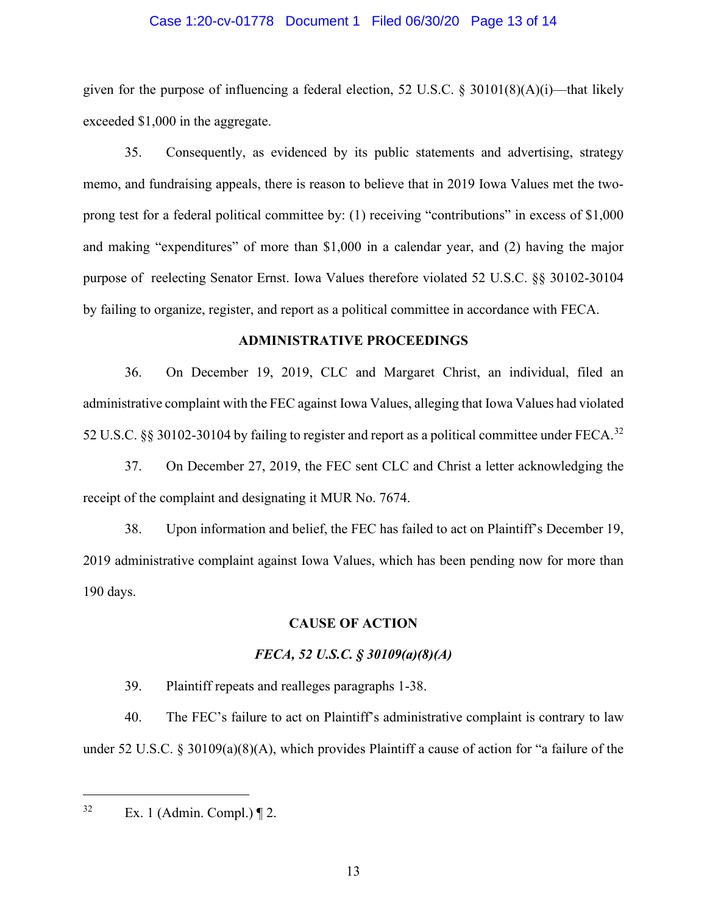### Case 1:20-cv-01778 Document 1 Filed 06/30/20 Page 13 of 14

given for the purpose of influencing a federal election, 52 U.S.C. § 30101(8)(A)(i)—that likely exceeded \$1,000 in the aggregate.

35. Consequently, as evidenced by its public statements and advertising, strategy memo, and fundraising appeals, there is reason to believe that in 2019 Iowa Values met the twoprong test for a federal political committee by: (1) receiving "contributions" in excess of \$1,000 and making "expenditures" of more than \$1,000 in a calendar year, and (2) having the major purpose of reelecting Senator Ernst. Iowa Values therefore violated 52 U.S.C. §§ 30102-30104 by failing to organize, register, and report as a political committee in accordance with FECA.

### **ADMINISTRATIVE PROCEEDINGS**

36. On December 19, 2019, CLC and Margaret Christ, an individual, filed an administrative complaint with the FEC against Iowa Values, alleging that Iowa Values had violated 52 U.S.C. §§ 30102-30104 by failing to register and report as a political committee under FECA.<sup>[32](#page-12-0)</sup>

37. On December 27, 2019, the FEC sent CLC and Christ a letter acknowledging the receipt of the complaint and designating it MUR No. 7674.

38. Upon information and belief, the FEC has failed to act on Plaintiff's December 19, 2019 administrative complaint against Iowa Values, which has been pending now for more than 190 days.

### **CAUSE OF ACTION**

## *FECA, 52 U.S.C. § 30109(a)(8)(A)*

39. Plaintiff repeats and realleges paragraphs 1-38.

40. The FEC's failure to act on Plaintiff's administrative complaint is contrary to law under 52 U.S.C. § 30109(a)(8)(A), which provides Plaintiff a cause of action for "a failure of the

<span id="page-12-0"></span> $32$  Ex. 1 (Admin. Compl.)  $\P$  2.